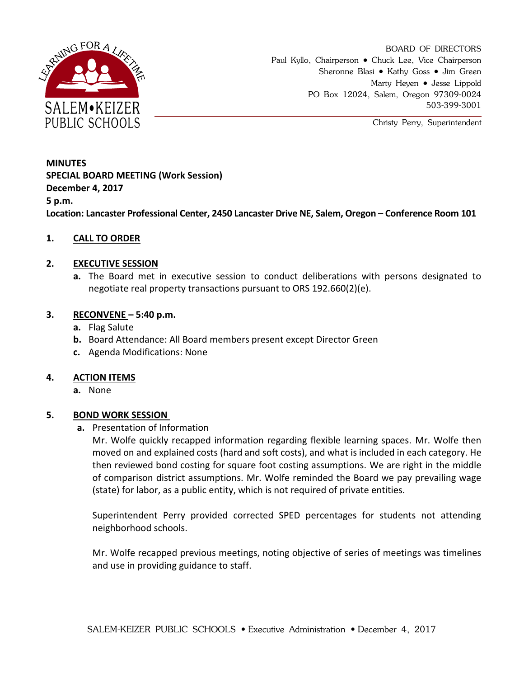

BOARD OF DIRECTORS Paul Kyllo, Chairperson • Chuck Lee, Vice Chairperson Sheronne Blasi • Kathy Goss • Jim Green Marty Heyen • Jesse Lippold PO Box 12024, Salem, Oregon 97309-0024 503-399-3001

Christy Perry, Superintendent

# **MINUTES SPECIAL BOARD MEETING (Work Session) December 4, 2017 5 p.m.**

**Location: Lancaster Professional Center, 2450 Lancaster Drive NE, Salem, Oregon – Conference Room 101**

# **1. CALL TO ORDER**

## **2. EXECUTIVE SESSION**

**a.** The Board met in executive session to conduct deliberations with persons designated to negotiate real property transactions pursuant to ORS 192.660(2)(e).

## **3. RECONVENE – 5:40 p.m.**

- **a.** Flag Salute
- **b.** Board Attendance: All Board members present except Director Green
- **c.** Agenda Modifications: None

#### **4. ACTION ITEMS**

**a.** None

## **5. BOND WORK SESSION**

#### **a.** Presentation of Information

Mr. Wolfe quickly recapped information regarding flexible learning spaces. Mr. Wolfe then moved on and explained costs (hard and soft costs), and what is included in each category. He then reviewed bond costing for square foot costing assumptions. We are right in the middle of comparison district assumptions. Mr. Wolfe reminded the Board we pay prevailing wage (state) for labor, as a public entity, which is not required of private entities.

Superintendent Perry provided corrected SPED percentages for students not attending neighborhood schools.

Mr. Wolfe recapped previous meetings, noting objective of series of meetings was timelines and use in providing guidance to staff.